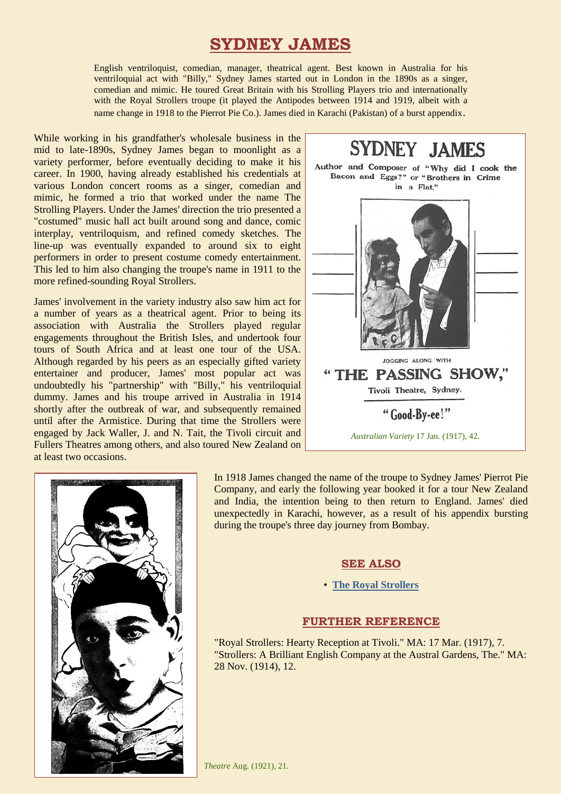## **SYDNEY JAMES**

English ventriloquist, comedian, manager, theatrical agent. Best known in Australia for his ventriloquial act with "Billy," Sydney James started out in London in the 1890s as a singer, comedian and mimic. He toured Great Britain with his Strolling Players trio and internationally with the Royal Strollers troupe (it played the Antipodes between 1914 and 1919, albeit with a name change in 1918 to the Pierrot Pie Co.). James died in Karachi (Pakistan) of a burst appendix.

While working in his grandfather's wholesale business in the mid to late-1890s, Sydney James began to moonlight as a variety performer, before eventually deciding to make it his career. In 1900, having already established his credentials at various London concert rooms as a singer, comedian and mimic, he formed a trio that worked under the name The Strolling Players. Under the James' direction the trio presented a "costumed" music hall act built around song and dance, comic interplay, ventriloquism, and refined comedy sketches. The line-up was eventually expanded to around six to eight performers in order to present costume comedy entertainment. This led to him also changing the troupe's name in 1911 to the more refined-sounding Royal Strollers.

James' involvement in the variety industry also saw him act for a number of years as a theatrical agent. Prior to being its association with Australia the Strollers played regular engagements throughout the British Isles, and undertook four tours of South Africa and at least one tour of the USA. Although regarded by his peers as an especially gifted variety entertainer and producer, James' most popular act was undoubtedly his "partnership" with "Billy," his ventriloquial dummy. James and his troupe arrived in Australia in 1914 shortly after the outbreak of war, and subsequently remained until after the Armistice. During that time the Strollers were engaged by Jack Waller, J. and N. Tait, the Tivoli circuit and Fullers Theatres among others, and also toured New Zealand on at least two occasions.





In 1918 James changed the name of the troupe to Sydney James' Pierrot Pie Company, and early the following year booked it for a tour New Zealand and India, the intention being to then return to England. James' died unexpectedly in Karachi, however, as a result of his appendix bursting during the troupe's three day journey from Bombay.

## **SEE ALSO**

## • **[The Royal Strollers](http://ozvta.com/troupes-m-r/)**

## **FURTHER REFERENCE**

"Royal Strollers: Hearty Reception at Tivoli." MA: 17 Mar. (1917), 7. "Strollers: A Brilliant English Company at the Austral Gardens, The." MA: 28 Nov. (1914), 12.

*Theatre* Aug. (1921), 21.